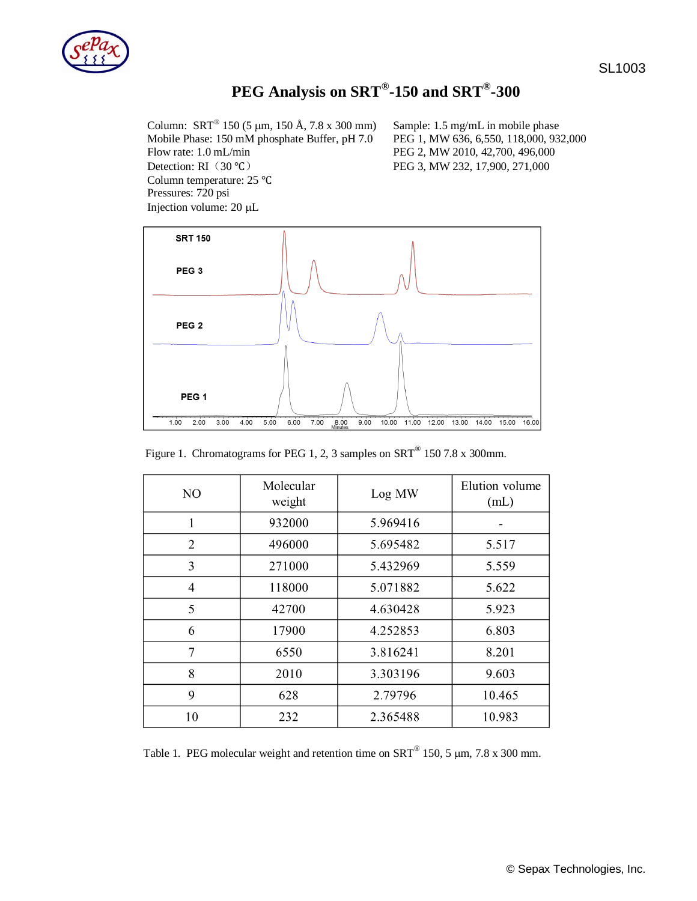

## **PEG Analysis on SRT® -150 and SRT® -300**

Column: SRT® Mobile Phase: 150 mM phosphate Buffer, pH 7.0 PEG 1, MW 636, 6,550, 118,000, 932,000 Flow rate: 1.0 mL/min PEG 2, MW 2010, 42,700, 496,000 Detection: RI(30 ℃) PEG 3, MW 232, 17,900, 271,000 Column temperature: 25 ℃ Pressures: 720 psi Injection volume: 20 µL

Sample: 1.5 mg/mL in mobile phase



Figure 1. Chromatograms for PEG 1, 2, 3 samples on  $SRT^{\circledast}$  150 7.8 x 300mm.

| N <sub>O</sub> | Molecular<br>weight | Log MW   | Elution volume<br>(mL) |
|----------------|---------------------|----------|------------------------|
|                | 932000              | 5.969416 |                        |
| $\overline{2}$ | 496000              | 5.695482 | 5.517                  |
| 3              | 271000              | 5.432969 | 5.559                  |
| $\overline{4}$ | 118000              | 5.071882 | 5.622                  |
| 5              | 42700               | 4.630428 | 5.923                  |
| 6              | 17900               | 4.252853 | 6.803                  |
| 7              | 6550                | 3.816241 | 8.201                  |
| 8              | 2010                | 3.303196 | 9.603                  |
| 9              | 628                 | 2.79796  | 10.465                 |
| 10             | 232                 | 2.365488 | 10.983                 |

Table 1. PEG molecular weight and retention time on  $SRT^{\circledast}$  150, 5 µm, 7.8 x 300 mm.